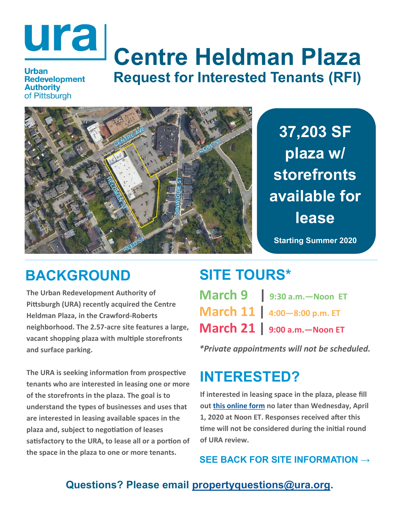# **Centre Heldman Plaza Request for Interested Tenants (RFI)**

**Authority** of Pittsburgh

**37,203 SF plaza w/ storefronts available for lease**

**Starting Summer 2020**

## **BACKGROUND**

**The Urban Redevelopment Authority of Pittsburgh (URA) recently acquired the Centre Heldman Plaza, in the Crawford-Roberts neighborhood. The 2.57-acre site features a large, vacant shopping plaza with multiple storefronts and surface parking.** 

**The URA is seeking information from prospective tenants who are interested in leasing one or more of the storefronts in the plaza. The goal is to understand the types of businesses and uses that are interested in leasing available spaces in the plaza and, subject to negotiation of leases satisfactory to the URA, to lease all or a portion of the space in the plaza to one or more tenants.**

## **SITE TOURS\***

| March 21   9:00 a.m. - Noon ET            |
|-------------------------------------------|
| March 11 4:00-8:00 p.m. ET                |
| $\mathsf{March}\ 9$   9:30 a.m. - Noon ET |

*\*Private appointments will not be scheduled.*

# **INTERESTED?**

**If interested in leasing space in the plaza, please fill out [this online form](https://forms.office.com/Pages/ResponsePage.aspx?id=RvF9xzjF5EmVd8nuHSQ9Fk8z1h6JaQ9PokzlRdShlhpUQU0zQjg0U1YzTFVRNkg0TTdTRVhON0tYViQlQCN0PWcu) no later than Wednesday, April 1, 2020 at Noon ET. Responses received after this time will not be considered during the initial round of URA review.**

**SEE BACK FOR SITE INFORMATION →** 

### **Questions? Please email [propertyquestions@ura.org.](mailto:propertyquestions@ura.org)**